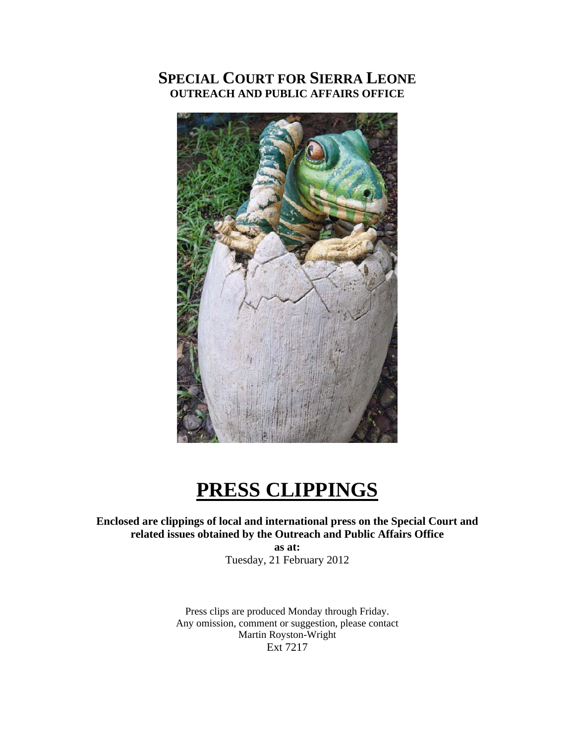## **SPECIAL COURT FOR SIERRA LEONE OUTREACH AND PUBLIC AFFAIRS OFFICE**



# **PRESS CLIPPINGS**

## **Enclosed are clippings of local and international press on the Special Court and related issues obtained by the Outreach and Public Affairs Office**

**as at:**  Tuesday, 21 February 2012

Press clips are produced Monday through Friday. Any omission, comment or suggestion, please contact Martin Royston-Wright Ext 7217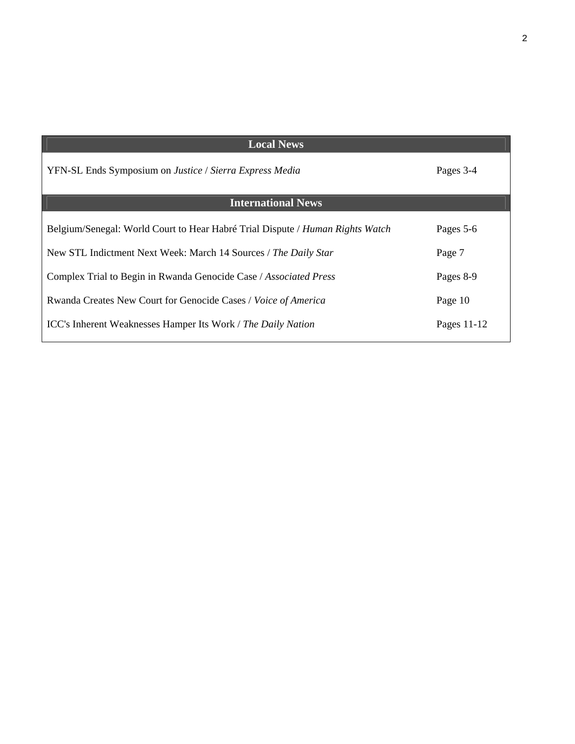| <b>Local News</b>                                                             |             |
|-------------------------------------------------------------------------------|-------------|
| YFN-SL Ends Symposium on Justice / Sierra Express Media                       | Pages 3-4   |
| <b>International News</b>                                                     |             |
| Belgium/Senegal: World Court to Hear Habré Trial Dispute / Human Rights Watch | Pages 5-6   |
| New STL Indictment Next Week: March 14 Sources / The Daily Star               | Page 7      |
| Complex Trial to Begin in Rwanda Genocide Case / Associated Press             | Pages 8-9   |
| Rwanda Creates New Court for Genocide Cases / Voice of America                | Page 10     |
| <b>ICC's Inherent Weaknesses Hamper Its Work / The Daily Nation</b>           | Pages 11-12 |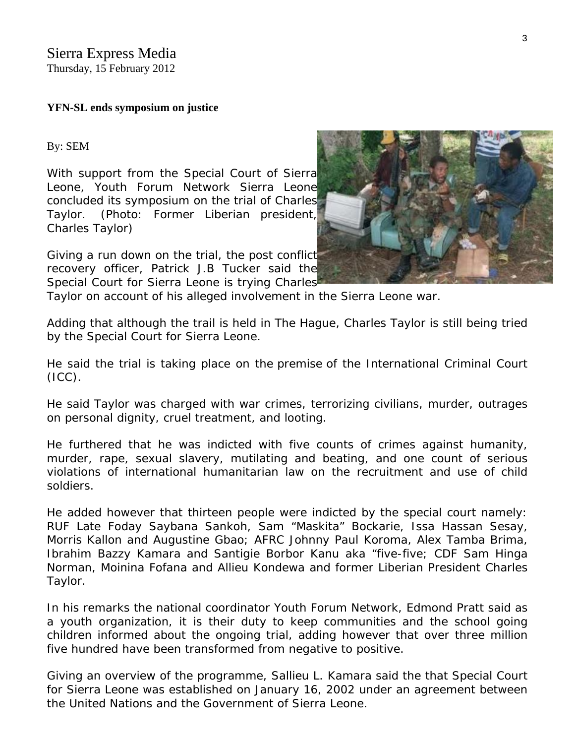## **YFN-SL ends symposium on justice**

By: [SEM](http://www.sierraexpressmedia.com/archives/author/sierra-express-media) 

With support from the Special Court of Sierra Leone, Youth Forum Network Sierra Leon[e](http://www.sierraexpressmedia.com/archives/35164)  concluded its symposium on the trial of Charles Taylor. *(Photo: Former Liberian president, Charles Taylor)*

Giving a run down on the trial, the post conflict recovery officer, Patrick J.B Tucker said the Special Court for Sierra Leone is trying Charles

Taylor on account of his alleged involvement in the Sierra Leone war.

Adding that although the trail is held in The Hague, Charles Taylor is still being tried by the Special Court for Sierra Leone.

He said the trial is taking place on the premise of the International Criminal Court  $(ICC)$ .

He said Taylor was charged with war crimes, terrorizing civilians, murder, outrages on personal dignity, cruel treatment, and looting.

He furthered that he was indicted with five counts of crimes against humanity, murder, rape, sexual slavery, mutilating and beating, and one count of serious violations of international humanitarian law on the recruitment and use of child soldiers.

He added however that thirteen people were indicted by the special court namely: RUF Late Foday Saybana Sankoh, Sam "Maskita" Bockarie, Issa Hassan Sesay, Morris Kallon and Augustine Gbao; AFRC Johnny Paul Koroma, Alex Tamba Brima, Ibrahim Bazzy Kamara and Santigie Borbor Kanu aka "five-five; CDF Sam Hinga Norman, Moinina Fofana and Allieu Kondewa and former Liberian President Charles Taylor.

In his remarks the national coordinator Youth Forum Network, Edmond Pratt said as a youth organization, it is their duty to keep communities and the school going children informed about the ongoing trial, adding however that over three million five hundred have been transformed from negative to positive.

Giving an overview of the programme, Sallieu L. Kamara said the that Special Court for Sierra Leone was established on January 16, 2002 under an agreement between the United Nations and the Government of Sierra Leone.

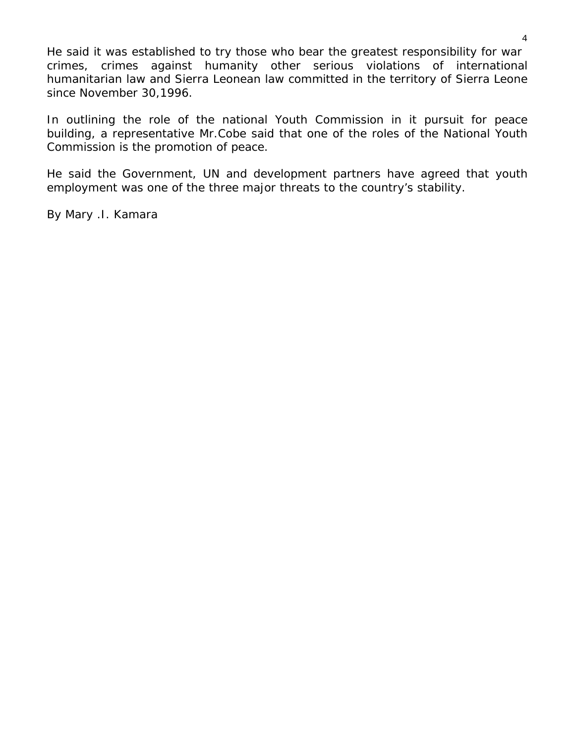He said it was established to try those who bear the greatest responsibility for war crimes, crimes against humanity other serious violations of international humanitarian law and Sierra Leonean law committed in the territory of Sierra Leone since November 30,1996.

In outlining the role of the national Youth Commission in it pursuit for peace building, a representative Mr.Cobe said that one of the roles of the National Youth Commission is the promotion of peace.

He said the Government, UN and development partners have agreed that youth employment was one of the three major threats to the country's stability.

*By Mary .I. Kamara*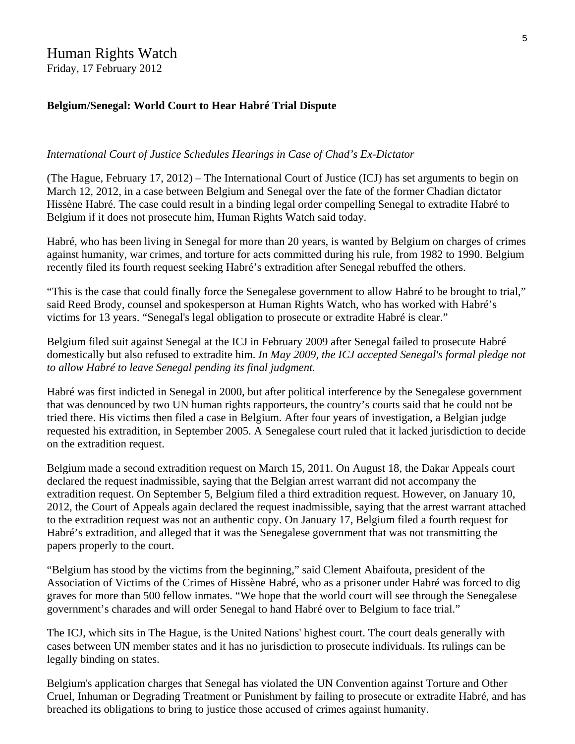## Human Rights Watch

Friday, 17 February 2012

#### **Belgium/Senegal: World Court to Hear Habré Trial Dispute**

#### *International Court of Justice Schedules Hearings in Case of Chad's Ex-Dictator*

(The Hague, February 17, 2012) – The International Court of Justice (ICJ) has set arguments to begin on March 12, 2012, in a case between Belgium and Senegal over the fate of the former Chadian dictator Hissène Habré. The case could result in a binding legal order compelling Senegal to extradite Habré to Belgium if it does not prosecute him, Human Rights Watch said today.

Habré, who has been living in Senegal for more than 20 years, is wanted by Belgium on charges of crimes against humanity, war crimes, and torture for acts committed during his rule, from 1982 to 1990. Belgium recently filed its fourth request seeking Habré's extradition after Senegal rebuffed the others.

"This is the case that could finally force the Senegalese government to allow Habré to be brought to trial," said Reed Brody, counsel and spokesperson at Human Rights Watch, who has worked with Habré's victims for 13 years. "Senegal's legal obligation to prosecute or extradite Habré is clear."

Belgium filed suit against Senegal at the ICJ in February 2009 after Senegal failed to prosecute Habré domestically but also refused to extradite him. *In May 2009, the ICJ accepted Senegal's formal pledge not to allow Habré to leave Senegal pending its final judgment.*

Habré was first indicted in Senegal in 2000, but after political interference by the Senegalese government that was denounced by two UN human rights rapporteurs, the country's courts said that he could not be tried there. His victims then filed a case in Belgium. After four years of investigation, a Belgian judge requested his extradition, in September 2005. A Senegalese court ruled that it lacked jurisdiction to decide on the extradition request.

Belgium made a second extradition request on March 15, 2011. On August 18, the Dakar Appeals court declared the request inadmissible, saying that the Belgian arrest warrant did not accompany the extradition request. On September 5, Belgium filed a third extradition request. However, on January 10, 2012, the Court of Appeals again declared the request inadmissible, saying that the arrest warrant attached to the extradition request was not an authentic copy. On January 17, Belgium filed a fourth request for Habré's extradition, and alleged that it was the Senegalese government that was not transmitting the papers properly to the court.

"Belgium has stood by the victims from the beginning," said Clement Abaifouta, president of the Association of Victims of the Crimes of Hissène Habré, who as a prisoner under Habré was forced to dig graves for more than 500 fellow inmates. "We hope that the world court will see through the Senegalese government's charades and will order Senegal to hand Habré over to Belgium to face trial."

The ICJ, which sits in The Hague, is the United Nations' highest court. The court deals generally with cases between UN member states and it has no jurisdiction to prosecute individuals. Its rulings can be legally binding on states.

Belgium's application charges that Senegal has violated the UN Convention against Torture and Other Cruel, Inhuman or Degrading Treatment or Punishment by failing to prosecute or extradite Habré, and has breached its obligations to bring to justice those accused of crimes against humanity.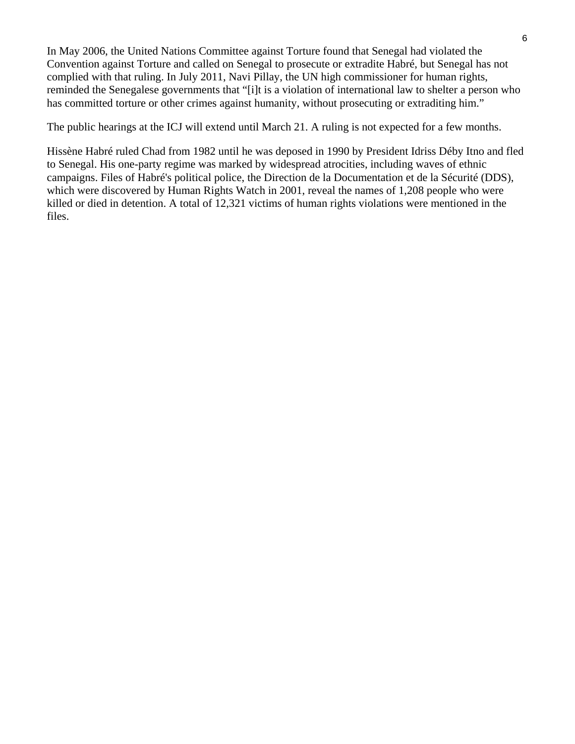In May 2006, the United Nations Committee against Torture found that Senegal had violated the Convention against Torture and called on Senegal to prosecute or extradite Habré, but Senegal has not complied with that ruling. In July 2011, Navi Pillay, the UN high commissioner for human rights, reminded the Senegalese governments that "[i]t is a violation of international law to shelter a person who has committed torture or other crimes against humanity, without prosecuting or extraditing him."

The public hearings at the ICJ will extend until March 21. A ruling is not expected for a few months.

Hissène Habré ruled Chad from 1982 until he was deposed in 1990 by President Idriss Déby Itno and fled to Senegal. His one-party regime was marked by widespread atrocities, including waves of ethnic campaigns. Files of Habré's political police, the Direction de la Documentation et de la Sécurité (DDS), which were discovered by Human Rights Watch in 2001, reveal the names of 1,208 people who were killed or died in detention. A total of 12,321 victims of human rights violations were mentioned in the files.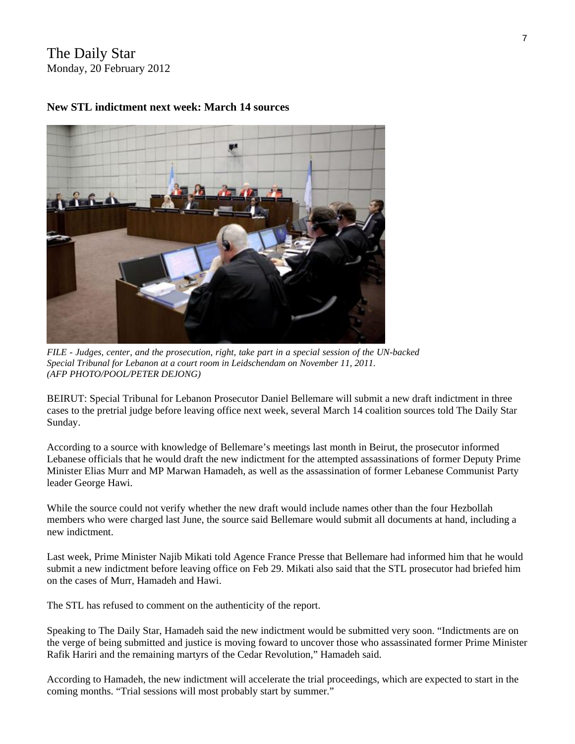## The Daily Star Monday, 20 February 2012



#### **New STL indictment next week: March 14 sources**

*FILE - Judges, center, and the prosecution, right, take part in a special session of the UN-backed Special Tribunal for Lebanon at a court room in Leidschendam on November 11, 2011. (AFP PHOTO/POOL/PETER DEJONG)* 

BEIRUT: Special Tribunal for Lebanon Prosecutor Daniel Bellemare will submit a new draft indictment in three cases to the pretrial judge before leaving office next week, several March 14 coalition sources told The Daily Star Sunday.

According to a source with knowledge of Bellemare's meetings last month in Beirut, the prosecutor informed Lebanese officials that he would draft the new indictment for the attempted assassinations of former Deputy Prime Minister Elias Murr and MP Marwan Hamadeh, as well as the assassination of former Lebanese Communist Party leader George Hawi.

While the source could not verify whether the new draft would include names other than the four Hezbollah members who were charged last June, the source said Bellemare would submit all documents at hand, including a new indictment.

Last week, Prime Minister Najib Mikati told Agence France Presse that Bellemare had informed him that he would submit a new indictment before leaving office on Feb 29. Mikati also said that the STL prosecutor had briefed him on the cases of Murr, Hamadeh and Hawi.

The STL has refused to comment on the authenticity of the report.

Speaking to The Daily Star, Hamadeh said the new indictment would be submitted very soon. "Indictments are on the verge of being submitted and justice is moving foward to uncover those who assassinated former Prime Minister Rafik Hariri and the remaining martyrs of the Cedar Revolution," Hamadeh said.

According to Hamadeh, the new indictment will accelerate the trial proceedings, which are expected to start in the coming months. "Trial sessions will most probably start by summer."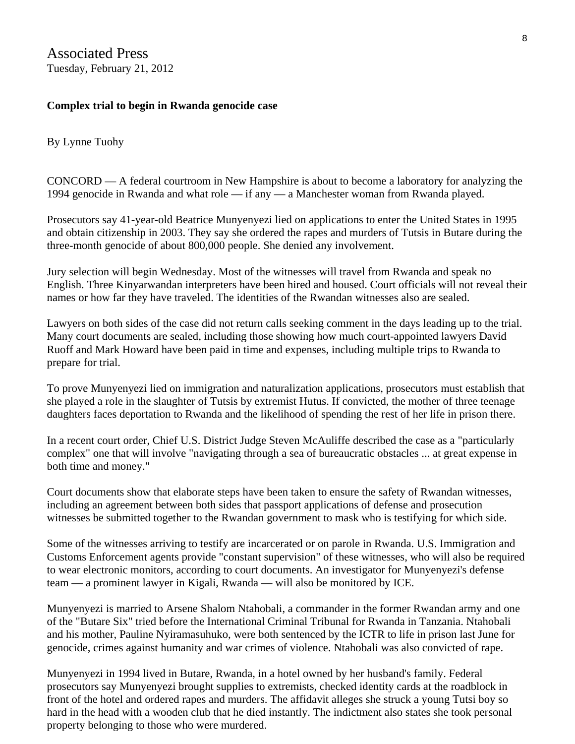## **Complex trial to begin in Rwanda genocide case**

By Lynne Tuohy

CONCORD — A federal courtroom in New Hampshire is about to become a laboratory for analyzing the 1994 genocide in Rwanda and what role — if any — a Manchester woman from Rwanda played.

Prosecutors say 41-year-old Beatrice Munyenyezi lied on applications to enter the United States in 1995 and obtain citizenship in 2003. They say she ordered the rapes and murders of Tutsis in Butare during the three-month genocide of about 800,000 people. She denied any involvement.

Jury selection will begin Wednesday. Most of the witnesses will travel from Rwanda and speak no English. Three Kinyarwandan interpreters have been hired and housed. Court officials will not reveal their names or how far they have traveled. The identities of the Rwandan witnesses also are sealed.

Lawyers on both sides of the case did not return calls seeking comment in the days leading up to the trial. Many court documents are sealed, including those showing how much court-appointed lawyers David Ruoff and Mark Howard have been paid in time and expenses, including multiple trips to Rwanda to prepare for trial.

To prove Munyenyezi lied on immigration and naturalization applications, prosecutors must establish that she played a role in the slaughter of Tutsis by extremist Hutus. If convicted, the mother of three teenage daughters faces deportation to Rwanda and the likelihood of spending the rest of her life in prison there.

In a recent court order, Chief U.S. District Judge Steven McAuliffe described the case as a "particularly complex" one that will involve "navigating through a sea of bureaucratic obstacles ... at great expense in both time and money."

Court documents show that elaborate steps have been taken to ensure the safety of Rwandan witnesses, including an agreement between both sides that passport applications of defense and prosecution witnesses be submitted together to the Rwandan government to mask who is testifying for which side.

Some of the witnesses arriving to testify are incarcerated or on parole in Rwanda. U.S. Immigration and Customs Enforcement agents provide "constant supervision" of these witnesses, who will also be required to wear electronic monitors, according to court documents. An investigator for Munyenyezi's defense team — a prominent lawyer in Kigali, Rwanda — will also be monitored by ICE.

Munyenyezi is married to Arsene Shalom Ntahobali, a commander in the former Rwandan army and one of the "Butare Six" tried before the International Criminal Tribunal for Rwanda in Tanzania. Ntahobali and his mother, Pauline Nyiramasuhuko, were both sentenced by the ICTR to life in prison last June for genocide, crimes against humanity and war crimes of violence. Ntahobali was also convicted of rape.

Munyenyezi in 1994 lived in Butare, Rwanda, in a hotel owned by her husband's family. Federal prosecutors say Munyenyezi brought supplies to extremists, checked identity cards at the roadblock in front of the hotel and ordered rapes and murders. The affidavit alleges she struck a young Tutsi boy so hard in the head with a wooden club that he died instantly. The indictment also states she took personal property belonging to those who were murdered.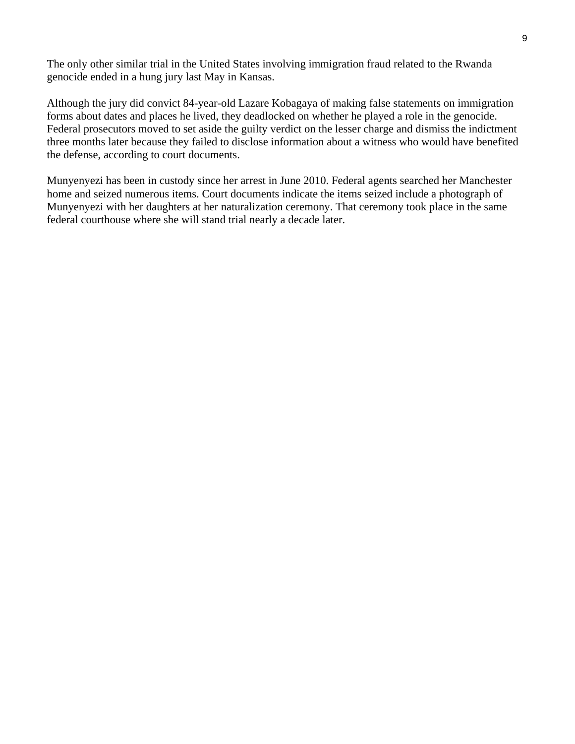The only other similar trial in the United States involving immigration fraud related to the Rwanda genocide ended in a hung jury last May in Kansas.

Although the jury did convict 84-year-old Lazare Kobagaya of making false statements on immigration forms about dates and places he lived, they deadlocked on whether he played a role in the genocide. Federal prosecutors moved to set aside the guilty verdict on the lesser charge and dismiss the indictment three months later because they failed to disclose information about a witness who would have benefited the defense, according to court documents.

Munyenyezi has been in custody since her arrest in June 2010. Federal agents searched her Manchester home and seized numerous items. Court documents indicate the items seized include a photograph of Munyenyezi with her daughters at her naturalization ceremony. That ceremony took place in the same federal courthouse where she will stand trial nearly a decade later.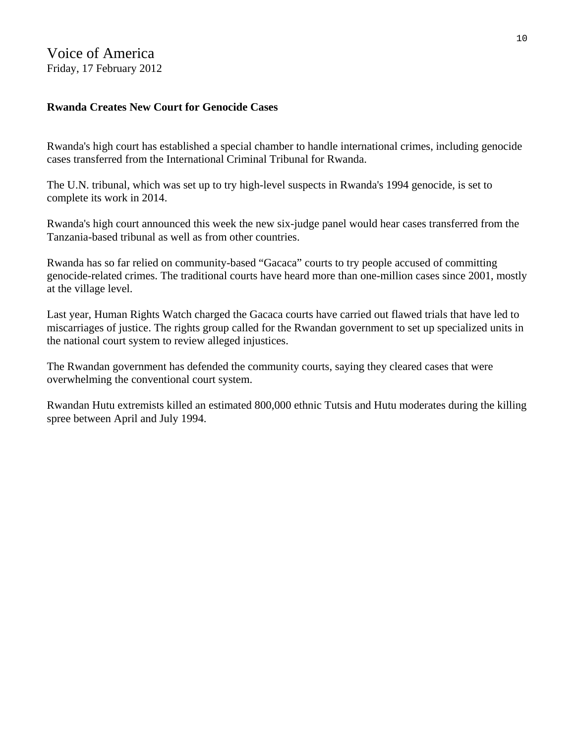## Voice of America Friday, 17 February 2012

## **Rwanda Creates New Court for Genocide Cases**

Rwanda's high court has established a special chamber to handle international crimes, including genocide cases transferred from the International Criminal Tribunal for Rwanda.

The U.N. tribunal, which was set up to try high-level suspects in Rwanda's 1994 genocide, is set to complete its work in 2014.

Rwanda's high court announced this week the new six-judge panel would hear cases transferred from the Tanzania-based tribunal as well as from other countries.

Rwanda has so far relied on community-based "Gacaca" courts to try people accused of committing genocide-related crimes. The traditional courts have heard more than one-million cases since 2001, mostly at the village level.

Last year, Human Rights Watch charged the Gacaca courts have carried out flawed trials that have led to miscarriages of justice. The rights group called for the Rwandan government to set up specialized units in the national court system to review alleged injustices.

The Rwandan government has defended the community courts, saying they cleared cases that were overwhelming the conventional court system.

Rwandan Hutu extremists killed an estimated 800,000 ethnic Tutsis and Hutu moderates during the killing spree between April and July 1994.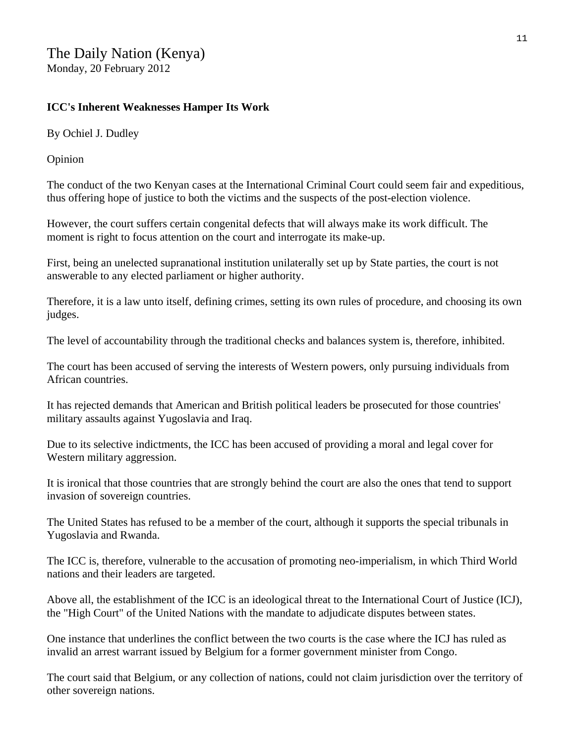## **ICC's Inherent Weaknesses Hamper Its Work**

By Ochiel J. Dudley

Opinion

The conduct of the two Kenyan cases at the International Criminal Court could seem fair and expeditious, thus offering hope of justice to both the victims and the suspects of the post-election violence.

However, the court suffers certain congenital defects that will always make its work difficult. The moment is right to focus attention on the court and interrogate its make-up.

First, being an unelected supranational institution unilaterally set up by State parties, the court is not answerable to any elected parliament or higher authority.

Therefore, it is a law unto itself, defining crimes, setting its own rules of procedure, and choosing its own judges.

The level of accountability through the traditional checks and balances system is, therefore, inhibited.

The court has been accused of serving the interests of Western powers, only pursuing individuals from African countries.

It has rejected demands that American and British political leaders be prosecuted for those countries' military assaults against Yugoslavia and Iraq.

Due to its selective indictments, the ICC has been accused of providing a moral and legal cover for Western military aggression.

It is ironical that those countries that are strongly behind the court are also the ones that tend to support invasion of sovereign countries.

The United States has refused to be a member of the court, although it supports the special tribunals in Yugoslavia and Rwanda.

The ICC is, therefore, vulnerable to the accusation of promoting neo-imperialism, in which Third World nations and their leaders are targeted.

Above all, the establishment of the ICC is an ideological threat to the International Court of Justice (ICJ), the "High Court" of the United Nations with the mandate to adjudicate disputes between states.

One instance that underlines the conflict between the two courts is the case where the ICJ has ruled as invalid an arrest warrant issued by Belgium for a former government minister from Congo.

The court said that Belgium, or any collection of nations, could not claim jurisdiction over the territory of other sovereign nations.